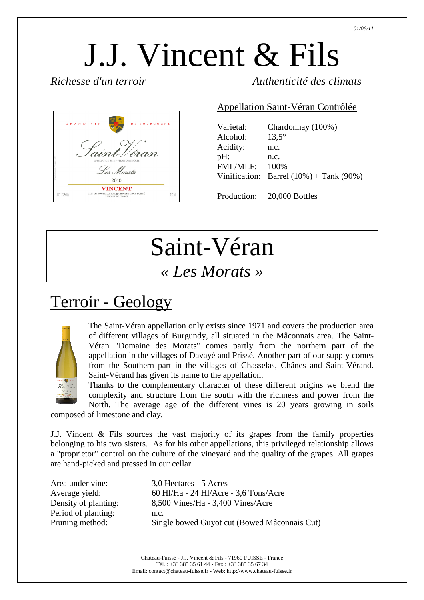# J.J. Vincent & Fils



#### *Richesse d'un terroir Authenticité des climats*

#### Appellation Saint-Véran Contrôlée

| Varietal:       | Chardonnay (100%)                             |
|-----------------|-----------------------------------------------|
| Alcohol:        | $13.5^\circ$                                  |
| Acidity:        | n.c.                                          |
| pH:             | n.c.                                          |
| <b>FML/MLF:</b> | 100%                                          |
|                 | Vinification: Barrel $(10\%)$ + Tank $(90\%)$ |
|                 |                                               |

Production: 20,000 Bottles

# Saint-Véran

#### *« Les Morats »*

## Terroir - Geology



The Saint-Véran appellation only exists since 1971 and covers the production area of different villages of Burgundy, all situated in the Mâconnais area. The Saint-Véran "Domaine des Morats" comes partly from the northern part of the appellation in the villages of Davayé and Prissé. Another part of our supply comes from the Southern part in the villages of Chasselas, Chânes and Saint-Vérand. Saint-Vérand has given its name to the appellation.

Thanks to the complementary character of these different origins we blend the complexity and structure from the south with the richness and power from the North. The average age of the different vines is 20 years growing in soils

composed of limestone and clay.

J.J. Vincent & Fils sources the vast majority of its grapes from the family properties belonging to his two sisters. As for his other appellations, this privileged relationship allows a "proprietor" control on the culture of the vineyard and the quality of the grapes. All grapes are hand-picked and pressed in our cellar.

| Area under vine:     | 3,0 Hectares - 5 Acres                       |
|----------------------|----------------------------------------------|
| Average yield:       | 60 Hl/Ha - 24 Hl/Acre - 3,6 Tons/Acre        |
| Density of planting: | 8,500 Vines/Ha - 3,400 Vines/Acre            |
| Period of planting:  | n.c.                                         |
| Pruning method:      | Single bowed Guyot cut (Bowed Mâconnais Cut) |